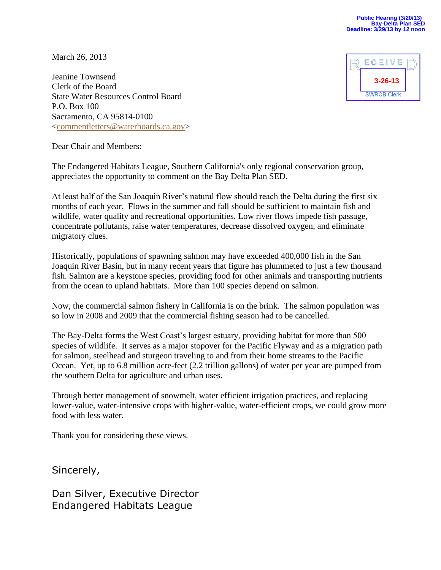March 26, 2013

Jeanine Townsend Clerk of the Board State Water Resources Control Board P.O. Box 100 Sacramento, CA 95814-0100 [<commentletters@waterboards.ca.gov>](mailto:commentletters@waterboards.ca.gov)



Dear Chair and Members:

The Endangered Habitats League, Southern California's only regional conservation group, appreciates the opportunity to comment on the Bay Delta Plan SED.

At least half of the San Joaquin River's natural flow should reach the Delta during the first six months of each year. Flows in the summer and fall should be sufficient to maintain fish and wildlife, water quality and recreational opportunities. Low river flows impede fish passage, concentrate pollutants, raise water temperatures, decrease dissolved oxygen, and eliminate migratory clues.

Historically, populations of spawning salmon may have exceeded 400,000 fish in the San Joaquin River Basin, but in many recent years that figure has plummeted to just a few thousand fish. Salmon are a keystone species, providing food for other animals and transporting nutrients from the ocean to upland habitats. More than 100 species depend on salmon.

Now, the commercial salmon fishery in California is on the brink. The salmon population was so low in 2008 and 2009 that the commercial fishing season had to be cancelled.

The Bay-Delta forms the West Coast's largest estuary, providing habitat for more than 500 species of wildlife. It serves as a major stopover for the Pacific Flyway and as a migration path for salmon, steelhead and sturgeon traveling to and from their home streams to the Pacific Ocean. Yet, up to 6.8 million acre-feet (2.2 trillion gallons) of water per year are pumped from the southern Delta for agriculture and urban uses.

Through better management of snowmelt, water efficient irrigation practices, and replacing lower-value, water-intensive crops with higher-value, water-efficient crops, we could grow more food with less water.

Thank you for considering these views.

Sincerely,

Dan Silver, Executive Director Endangered Habitats League